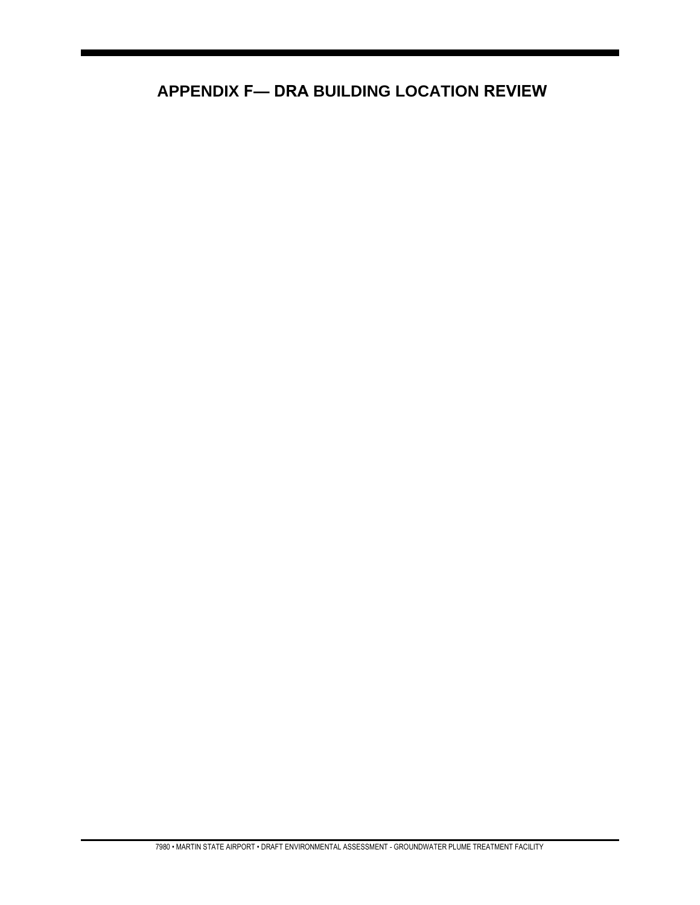# **APPENDIX F— DRA BUILDING LOCATION REVIEW**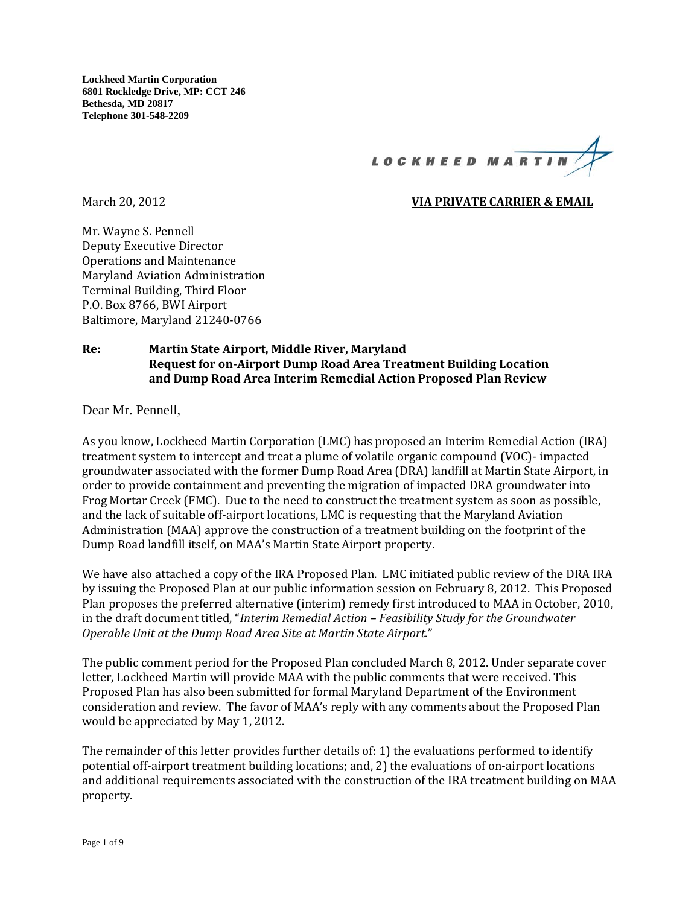

# **March 20, 2012 CONSERVATE CARRIER & EMAIL**

Mr. Wayne S. Pennell Deputy Executive Director Operations and Maintenance Maryland Aviation Administration Terminal Building, Third Floor P.O. Box 8766, BWI Airport Baltimore, Maryland 21240-0766

# **Re: Martin State Airport, Middle River, Maryland Request for on‐Airport Dump Road Area Treatment Building Location and Dump Road Area Interim Remedial Action Proposed Plan Review**

Dear Mr. Pennell,

As you know, Lockheed Martin Corporation (LMC) has proposed an Interim Remedial Action (IRA) treatment system to intercept and treat a plume of volatile organic compound (VOC)- impacted groundwater associated with the former Dump Road Area (DRA) landfill at Martin State Airport, in order to provide containment and preventing the migration of impacted DRA groundwater into Frog Mortar Creek (FMC). Due to the need to construct the treatment system as soon as possible, and the lack of suitable off-airport locations, LMC is requesting that the Maryland Aviation Administration (MAA) approve the construction of a treatment building on the footprint of the Dump Road landfill itself, on MAA's Martin State Airport property.

We have also attached a copy of the IRA Proposed Plan. LMC initiated public review of the DRA IRA by issuing the Proposed Plan at our public information session on February 8, 2012. This Proposed Plan proposes the preferred alternative (interim) remedy first introduced to MAA in October, 2010, in the draft document titled, "*Interim Remedial Action – Feasibility Study for the Groundwater Operable Unit at the Dump Road Area Site at Martin State Airport*." 

The public comment period for the Proposed Plan concluded March 8, 2012. Under separate cover letter, Lockheed Martin will provide MAA with the public comments that were received. This Proposed Plan has also been submitted for formal Maryland Department of the Environment consideration and review. The favor of MAA's reply with any comments about the Proposed Plan would be appreciated by May 1, 2012.

The remainder of this letter provides further details of: 1) the evaluations performed to identify potential off-airport treatment building locations; and, 2) the evaluations of on-airport locations and additional requirements associated with the construction of the IRA treatment building on MAA property.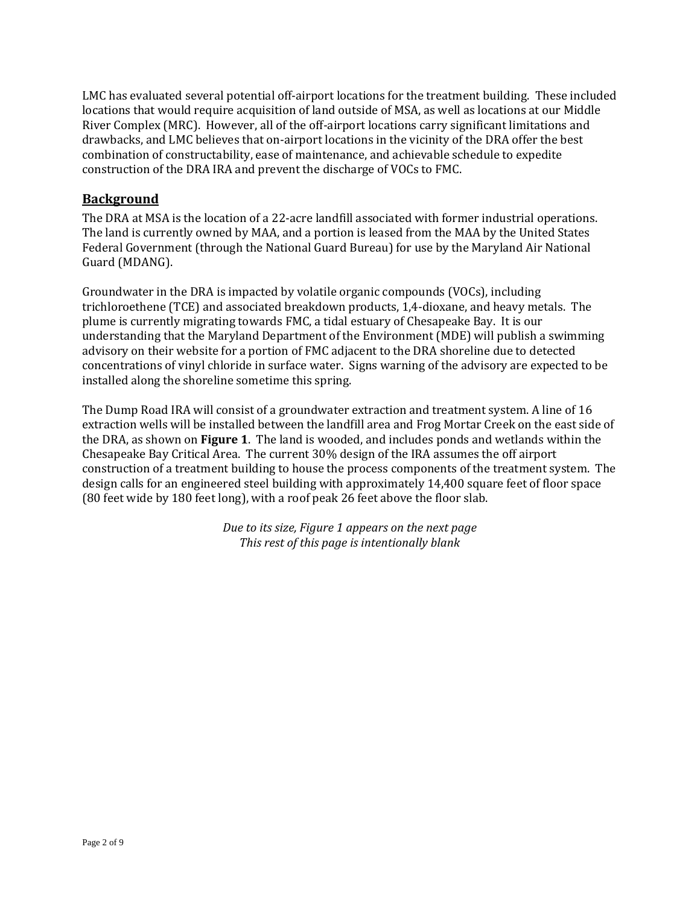LMC has evaluated several potential off-airport locations for the treatment building. These included locations that would require acquisition of land outside of MSA, as well as locations at our Middle River Complex (MRC). However, all of the off-airport locations carry significant limitations and drawbacks, and LMC believes that on-airport locations in the vicinity of the DRA offer the best combination of constructability, ease of maintenance, and achievable schedule to expedite construction of the DRA IRA and prevent the discharge of VOCs to FMC.

# **Background**

The DRA at MSA is the location of a 22-acre landfill associated with former industrial operations. The land is currently owned by MAA, and a portion is leased from the MAA by the United States Federal Government (through the National Guard Bureau) for use by the Maryland Air National Guard (MDANG).

Groundwater in the DRA is impacted by volatile organic compounds  $(VOCs)$ , including trichloroethene (TCE) and associated breakdown products, 1,4-dioxane, and heavy metals. The plume is currently migrating towards FMC, a tidal estuary of Chesapeake Bay. It is our understanding that the Maryland Department of the Environment (MDE) will publish a swimming advisory on their website for a portion of FMC adjacent to the DRA shoreline due to detected concentrations of vinyl chloride in surface water. Signs warning of the advisory are expected to be installed along the shoreline sometime this spring.

The Dump Road IRA will consist of a groundwater extraction and treatment system. A line of 16 extraction wells will be installed between the landfill area and Frog Mortar Creek on the east side of the DRA, as shown on **Figure 1**. The land is wooded, and includes ponds and wetlands within the Chesapeake Bay Critical Area. The current 30% design of the IRA assumes the off airport construction of a treatment building to house the process components of the treatment system. The design calls for an engineered steel building with approximately 14,400 square feet of floor space (80 feet wide by 180 feet long), with a roof peak 26 feet above the floor slab.

> *Due to its size, Figure 1 appears on the next page This rest of this page is intentionally blank*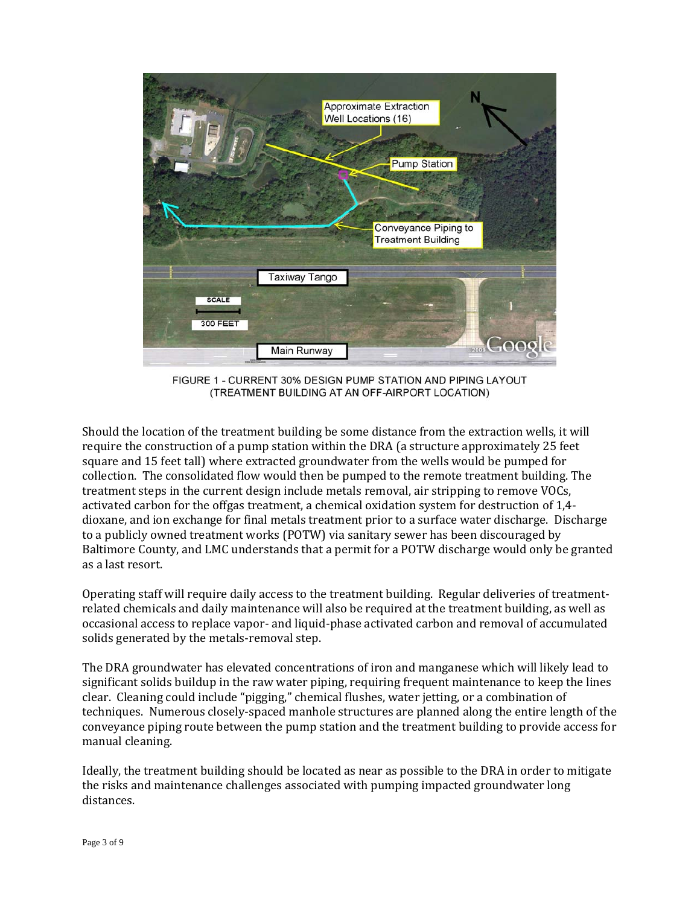

FIGURE 1 - CURRENT 30% DESIGN PUMP STATION AND PIPING LAYOUT (TREATMENT BUILDING AT AN OFF-AIRPORT LOCATION)

Should the location of the treatment building be some distance from the extraction wells, it will require the construction of a pump station within the DRA (a structure approximately 25 feet square and 15 feet tall) where extracted groundwater from the wells would be pumped for collection. The consolidated flow would then be pumped to the remote treatment building. The treatment steps in the current design include metals removal, air stripping to remove VOCs, activated carbon for the offgas treatment, a chemical oxidation system for destruction of 1,4dioxane, and ion exchange for final metals treatment prior to a surface water discharge. Discharge to a publicly owned treatment works (POTW) via sanitary sewer has been discouraged by Baltimore County, and LMC understands that a permit for a POTW discharge would only be granted as a last resort.

Operating staff will require daily access to the treatment building. Regular deliveries of treatmentrelated chemicals and daily maintenance will also be required at the treatment building, as well as occasional access to replace vapor- and liquid-phase activated carbon and removal of accumulated solids generated by the metals-removal step.

The DRA groundwater has elevated concentrations of iron and manganese which will likely lead to significant solids buildup in the raw water piping, requiring frequent maintenance to keep the lines clear. Cleaning could include "pigging," chemical flushes, water jetting, or a combination of techniques. Numerous closely-spaced manhole structures are planned along the entire length of the conveyance piping route between the pump station and the treatment building to provide access for manual cleaning.

Ideally, the treatment building should be located as near as possible to the DRA in order to mitigate the risks and maintenance challenges associated with pumping impacted groundwater long distances.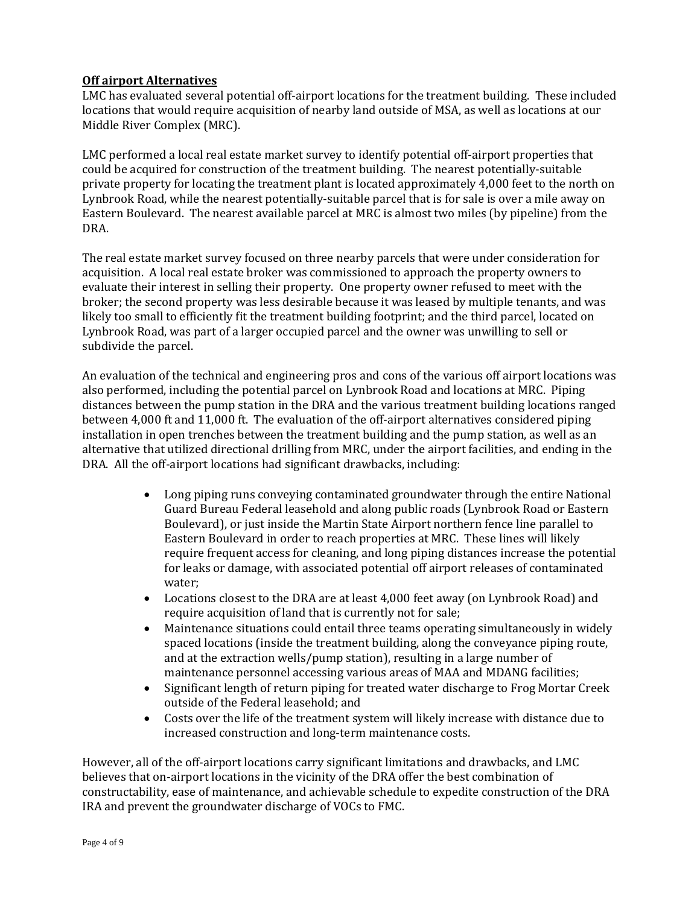# **Off airport Alternatives**

LMC has evaluated several potential off-airport locations for the treatment building. These included locations that would require acquisition of nearby land outside of MSA, as well as locations at our Middle River Complex (MRC).

LMC performed a local real estate market survey to identify potential off-airport properties that could be acquired for construction of the treatment building. The nearest potentially-suitable private property for locating the treatment plant is located approximately 4,000 feet to the north on Lynbrook Road, while the nearest potentially-suitable parcel that is for sale is over a mile away on Eastern Boulevard. The nearest available parcel at MRC is almost two miles (by pipeline) from the DRA. 

The real estate market survey focused on three nearby parcels that were under consideration for acquisition. A local real estate broker was commissioned to approach the property owners to evaluate their interest in selling their property. One property owner refused to meet with the broker; the second property was less desirable because it was leased by multiple tenants, and was likely too small to efficiently fit the treatment building footprint; and the third parcel, located on Lynbrook Road, was part of a larger occupied parcel and the owner was unwilling to sell or subdivide the parcel.

An evaluation of the technical and engineering pros and cons of the various off airport locations was also performed, including the potential parcel on Lynbrook Road and locations at MRC. Piping distances between the pump station in the DRA and the various treatment building locations ranged between 4,000 ft and 11,000 ft. The evaluation of the off-airport alternatives considered piping installation in open trenches between the treatment building and the pump station, as well as an alternative that utilized directional drilling from MRC, under the airport facilities, and ending in the DRA. All the off-airport locations had significant drawbacks, including:

- Long piping runs conveying contaminated groundwater through the entire National Guard Bureau Federal leasehold and along public roads (Lynbrook Road or Eastern Boulevard), or just inside the Martin State Airport northern fence line parallel to Eastern Boulevard in order to reach properties at MRC. These lines will likely require frequent access for cleaning, and long piping distances increase the potential for leaks or damage, with associated potential off airport releases of contaminated water;
- Locations closest to the DRA are at least 4,000 feet away (on Lynbrook Road) and require acquisition of land that is currently not for sale;
- Maintenance situations could entail three teams operating simultaneously in widely spaced locations (inside the treatment building, along the conveyance piping route, and at the extraction wells/pump station), resulting in a large number of maintenance personnel accessing various areas of MAA and MDANG facilities;
- Significant length of return piping for treated water discharge to Frog Mortar Creek outside of the Federal leasehold; and
- Costs over the life of the treatment system will likely increase with distance due to increased construction and long-term maintenance costs.

However, all of the off-airport locations carry significant limitations and drawbacks, and LMC believes that on-airport locations in the vicinity of the DRA offer the best combination of constructability, ease of maintenance, and achievable schedule to expedite construction of the DRA IRA and prevent the groundwater discharge of VOCs to FMC.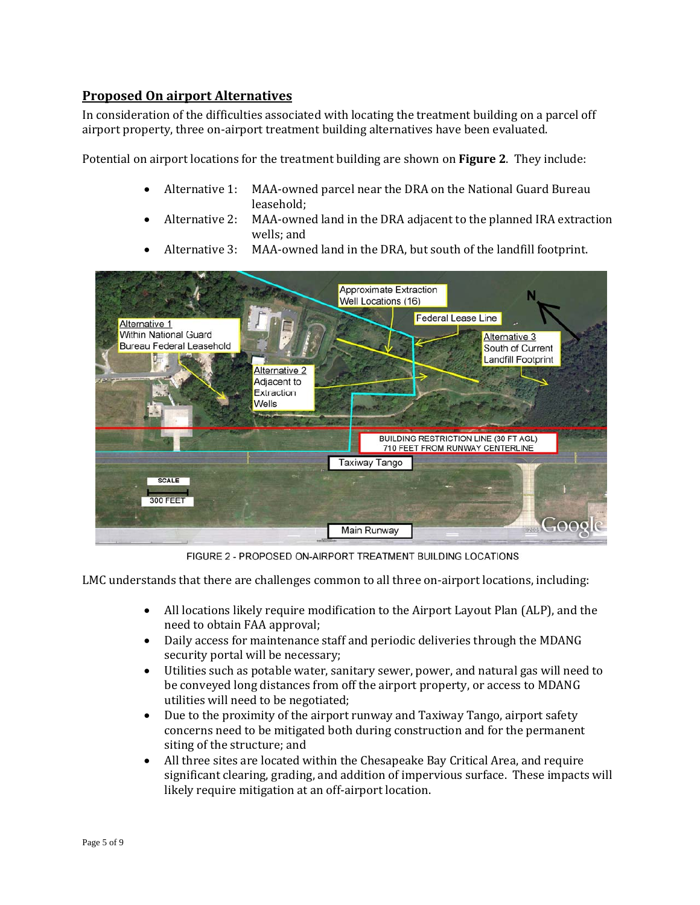# **Proposed On airport Alternatives**

In consideration of the difficulties associated with locating the treatment building on a parcel off airport property, three on-airport treatment building alternatives have been evaluated.

Potential on airport locations for the treatment building are shown on **Figure 2**. They include:

- Alternative 1: MAA-owned parcel near the DRA on the National Guard Bureau leasehold;
- Alternative 2: MAA-owned land in the DRA adjacent to the planned IRA extraction wells; and
- Alternative 3: MAA-owned land in the DRA, but south of the landfill footprint.

|                                                                                                                         |                                                                        | <b>Approximate Extraction</b><br><b>Well Locations (16)</b> |                                                                                             |
|-------------------------------------------------------------------------------------------------------------------------|------------------------------------------------------------------------|-------------------------------------------------------------|---------------------------------------------------------------------------------------------|
| <b>Alternative 1</b><br><b>Within National Guard</b><br><b>Bureau Federal Leasehold</b><br>$\sigma_{\Phi_{\mathbf{r}}}$ | E<br><b>Alternative 2</b><br>Adjacent to<br>Extraction<br><b>Wells</b> |                                                             | <b>Federal Lease Line</b><br>Alternative 3<br>South of Current<br><b>Landfill Footprint</b> |
|                                                                                                                         | <b>March 24</b>                                                        | Taxiway Tango                                               | BUILDING RESTRICTION LINE (30 FT AGL)<br>710 FEET FROM RUNWAY CENTERLINE                    |
| <b>SCALE</b><br><b>300 FEET</b>                                                                                         |                                                                        |                                                             |                                                                                             |
|                                                                                                                         |                                                                        | Main Runway                                                 | Goog                                                                                        |

FIGURE 2 - PROPOSED ON-AIRPORT TREATMENT BUILDING LOCATIONS

LMC understands that there are challenges common to all three on-airport locations, including:

- All locations likely require modification to the Airport Layout Plan (ALP), and the need to obtain FAA approval;
- Daily access for maintenance staff and periodic deliveries through the MDANG security portal will be necessary;
- Utilities such as potable water, sanitary sewer, power, and natural gas will need to be conveyed long distances from off the airport property, or access to MDANG utilities will need to be negotiated;
- Due to the proximity of the airport runway and Taxiway Tango, airport safety concerns need to be mitigated both during construction and for the permanent siting of the structure; and
- All three sites are located within the Chesapeake Bay Critical Area, and require significant clearing, grading, and addition of impervious surface. These impacts will likely require mitigation at an off-airport location.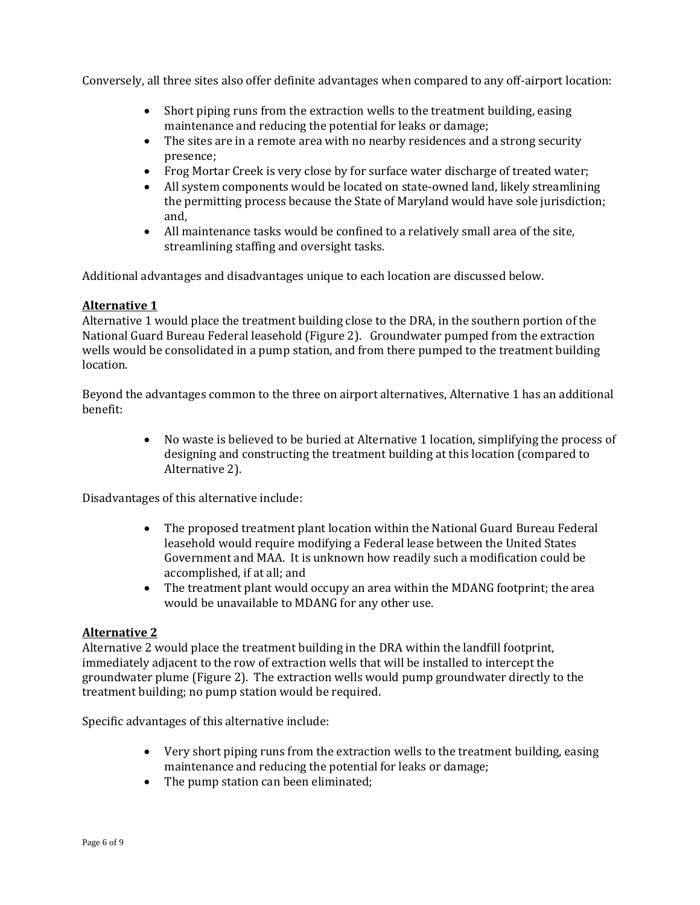Conversely, all three sites also offer definite advantages when compared to any off-airport location:

- Short piping runs from the extraction wells to the treatment building, easing maintenance and reducing the potential for leaks or damage;
- The sites are in a remote area with no nearby residences and a strong security presence;
- Frog Mortar Creek is very close by for surface water discharge of treated water;
- All system components would be located on state-owned land, likely streamlining the permitting process because the State of Maryland would have sole jurisdiction; and,
- All maintenance tasks would be confined to a relatively small area of the site, streamlining staffing and oversight tasks.

Additional advantages and disadvantages unique to each location are discussed below.

# **Alternative 1**

Alternative 1 would place the treatment building close to the DRA, in the southern portion of the National Guard Bureau Federal leasehold (Figure 2). Groundwater pumped from the extraction wells would be consolidated in a pump station, and from there pumped to the treatment building location. 

Beyond the advantages common to the three on airport alternatives, Alternative 1 has an additional benefit: 

> • No waste is believed to be buried at Alternative 1 location, simplifying the process of designing and constructing the treatment building at this location (compared to Alternative 2).

Disadvantages of this alternative include:

- The proposed treatment plant location within the National Guard Bureau Federal leasehold would require modifying a Federal lease between the United States Government and MAA. It is unknown how readily such a modification could be accomplished, if at all; and
- The treatment plant would occupy an area within the MDANG footprint; the area would be unavailable to MDANG for any other use.

#### **Alternative 2**

Alternative 2 would place the treatment building in the DRA within the landfill footprint, immediately adjacent to the row of extraction wells that will be installed to intercept the groundwater plume (Figure 2). The extraction wells would pump groundwater directly to the treatment building; no pump station would be required.

Specific advantages of this alternative include:

- Very short piping runs from the extraction wells to the treatment building, easing maintenance and reducing the potential for leaks or damage;
- The pump station can been eliminated: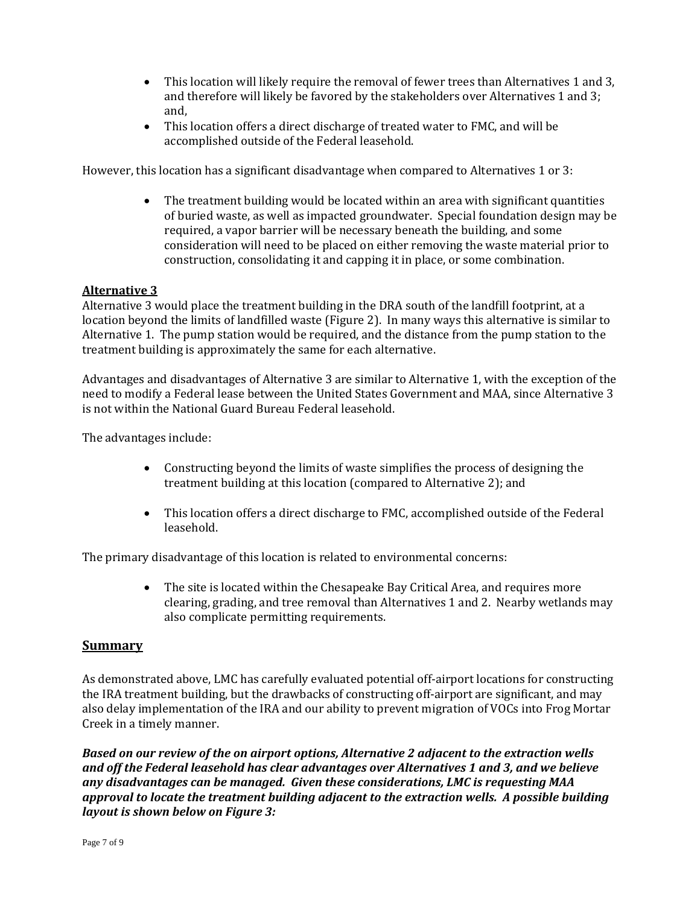- This location will likely require the removal of fewer trees than Alternatives 1 and 3, and therefore will likely be favored by the stakeholders over Alternatives 1 and 3; and,
- This location offers a direct discharge of treated water to FMC, and will be accomplished outside of the Federal leasehold.

However, this location has a significant disadvantage when compared to Alternatives 1 or 3:

• The treatment building would be located within an area with significant quantities of buried waste, as well as impacted groundwater. Special foundation design may be required, a vapor barrier will be necessary beneath the building, and some consideration will need to be placed on either removing the waste material prior to construction, consolidating it and capping it in place, or some combination.

# **Alternative 3**

Alternative 3 would place the treatment building in the DRA south of the landfill footprint, at a location beyond the limits of landfilled waste (Figure 2). In many ways this alternative is similar to Alternative 1. The pump station would be required, and the distance from the pump station to the treatment building is approximately the same for each alternative.

Advantages and disadvantages of Alternative 3 are similar to Alternative 1, with the exception of the need to modify a Federal lease between the United States Government and MAA, since Alternative 3 is not within the National Guard Bureau Federal leasehold.

The advantages include:

- Constructing beyond the limits of waste simplifies the process of designing the treatment building at this location (compared to Alternative 2); and
- This location offers a direct discharge to FMC, accomplished outside of the Federal leasehold.

The primary disadvantage of this location is related to environmental concerns:

• The site is located within the Chesapeake Bay Critical Area, and requires more clearing, grading, and tree removal than Alternatives 1 and 2. Nearby wetlands may also complicate permitting requirements.

#### **Summary**

As demonstrated above, LMC has carefully evaluated potential off-airport locations for constructing the IRA treatment building, but the drawbacks of constructing off-airport are significant, and may also delay implementation of the IRA and our ability to prevent migration of VOCs into Frog Mortar Creek in a timely manner.

*Based on our review of the on airport options, Alternative 2 adjacent to the extraction wells and off the Federal leasehold has clear advantages over Alternatives 1 and 3, and we believe any disadvantages can be managed. Given these considerations, LMC is requesting MAA approval to locate the treatment building adjacent to the extraction wells. A possible building layout is shown below on Figure 3:*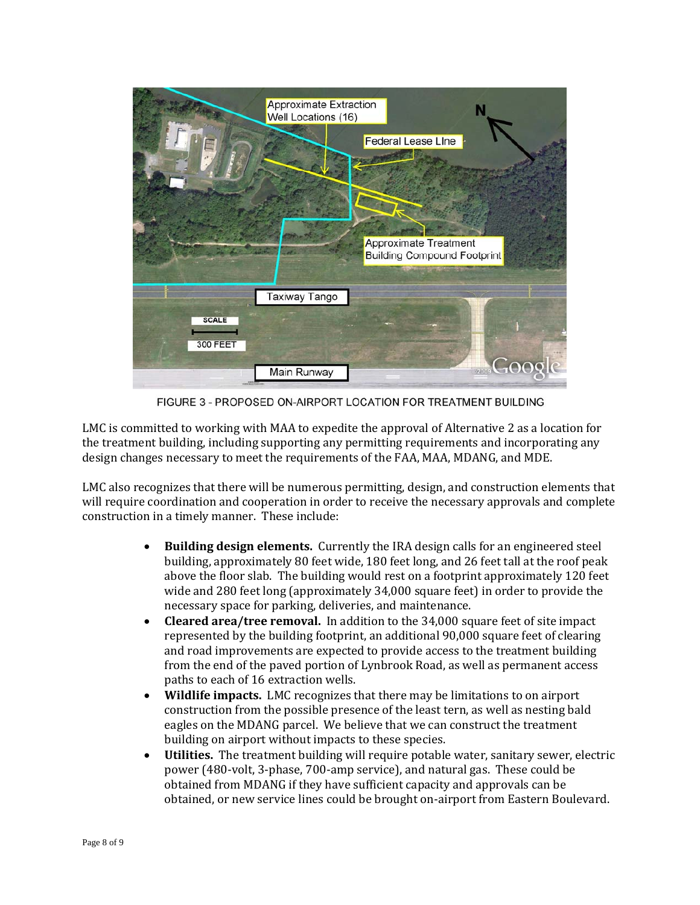

FIGURE 3 - PROPOSED ON-AIRPORT LOCATION FOR TREATMENT BUILDING

LMC is committed to working with MAA to expedite the approval of Alternative 2 as a location for the treatment building, including supporting any permitting requirements and incorporating any design changes necessary to meet the requirements of the FAA, MAA, MDANG, and MDE.

LMC also recognizes that there will be numerous permitting, design, and construction elements that will require coordination and cooperation in order to receive the necessary approvals and complete construction in a timely manner. These include:

- Building design elements. Currently the IRA design calls for an engineered steel building, approximately 80 feet wide, 180 feet long, and 26 feet tall at the roof peak above the floor slab. The building would rest on a footprint approximately 120 feet wide and  $280$  feet long (approximately  $34,000$  square feet) in order to provide the necessary space for parking, deliveries, and maintenance.
- **Cleared area/tree removal.** In addition to the 34,000 square feet of site impact represented by the building footprint, an additional 90,000 square feet of clearing and road improvements are expected to provide access to the treatment building from the end of the paved portion of Lynbrook Road, as well as permanent access paths to each of 16 extraction wells.
- **Wildlife impacts.** LMC recognizes that there may be limitations to on airport construction from the possible presence of the least tern, as well as nesting bald eagles on the MDANG parcel. We believe that we can construct the treatment building on airport without impacts to these species.
- **Utilities.** The treatment building will require potable water, sanitary sewer, electric power (480-volt, 3-phase, 700-amp service), and natural gas. These could be obtained from MDANG if they have sufficient capacity and approvals can be obtained, or new service lines could be brought on-airport from Eastern Boulevard.